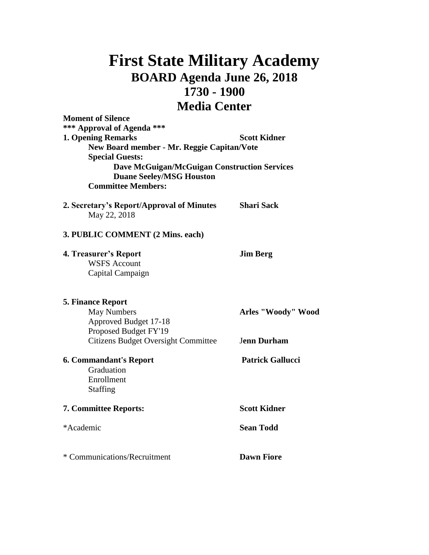## **First State Military Academy BOARD Agenda June 26, 2018 1730 - 1900 Media Center**

| <b>Moment of Silence</b><br>*** Approval of Agenda ***                                                                                        |                         |
|-----------------------------------------------------------------------------------------------------------------------------------------------|-------------------------|
| <b>1. Opening Remarks</b><br>New Board member - Mr. Reggie Capitan/Vote                                                                       | <b>Scott Kidner</b>     |
| <b>Special Guests:</b><br><b>Dave McGuigan/McGuigan Construction Services</b><br><b>Duane Seeley/MSG Houston</b><br><b>Committee Members:</b> |                         |
| 2. Secretary's Report/Approval of Minutes<br>May 22, 2018                                                                                     | <b>Shari Sack</b>       |
| 3. PUBLIC COMMENT (2 Mins. each)                                                                                                              |                         |
| <b>4. Treasurer's Report</b><br><b>WSFS Account</b><br>Capital Campaign                                                                       | <b>Jim Berg</b>         |
| <b>5. Finance Report</b>                                                                                                                      |                         |
| <b>May Numbers</b><br>Approved Budget 17-18<br>Proposed Budget FY'19                                                                          | Arles "Woody" Wood      |
| <b>Citizens Budget Oversight Committee</b>                                                                                                    | <b>Jenn Durham</b>      |
| <b>6. Commandant's Report</b><br>Graduation<br>Enrollment<br><b>Staffing</b>                                                                  | <b>Patrick Gallucci</b> |
| 7. Committee Reports:                                                                                                                         | <b>Scott Kidner</b>     |
| *Academic                                                                                                                                     | <b>Sean Todd</b>        |
| * Communications/Recruitment                                                                                                                  | <b>Dawn Fiore</b>       |